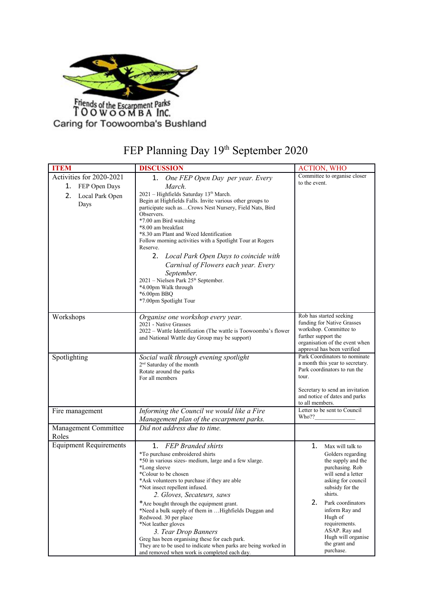

## FEP Planning Day 19th September 2020

| <b>ITEM</b>                                                                      | <b>DISCUSSION</b>                                                                                                                                                                                                                                                                                                                                                                                                                                                                                                                                                                                                                        | <b>ACTION, WHO</b>                                                                                                                                                                                                                                                                                           |
|----------------------------------------------------------------------------------|------------------------------------------------------------------------------------------------------------------------------------------------------------------------------------------------------------------------------------------------------------------------------------------------------------------------------------------------------------------------------------------------------------------------------------------------------------------------------------------------------------------------------------------------------------------------------------------------------------------------------------------|--------------------------------------------------------------------------------------------------------------------------------------------------------------------------------------------------------------------------------------------------------------------------------------------------------------|
| Activities for 2020-2021<br>1.<br>FEP Open Days<br>2.<br>Local Park Open<br>Days | One FEP Open Day per year. Every<br>1.<br>March.<br>2021 - Highfields Saturday 13th March.<br>Begin at Highfields Falls. Invite various other groups to<br>participate such asCrows Nest Nursery, Field Nats, Bird<br>Observers.<br>*7.00 am Bird watching<br>*8.00 am breakfast<br>*8.30 am Plant and Weed Identification<br>Follow morning activities with a Spotlight Tour at Rogers<br>Reserve.<br>2. Local Park Open Days to coincide with<br>Carnival of Flowers each year. Every<br>September.<br>2021 - Nielsen Park 25 <sup>th</sup> September.<br>*4.00pm Walk through<br>$*6.00$ pm BBQ<br>*7.00pm Spotlight Tour             | Committee to organise closer<br>to the event.                                                                                                                                                                                                                                                                |
| Workshops                                                                        | Organise one workshop every year.<br>2021 - Native Grasses<br>2022 – Wattle Identification (The wattle is Toowoomba's flower<br>and National Wattle day Group may be support)                                                                                                                                                                                                                                                                                                                                                                                                                                                            | Rob has started seeking<br>funding for Native Grasses<br>workshop. Committee to<br>further support the<br>organisation of the event when<br>approval has been verified                                                                                                                                       |
| Spotlighting                                                                     | Social walk through evening spotlight<br>2 <sup>nd</sup> Saturday of the month<br>Rotate around the parks<br>For all members                                                                                                                                                                                                                                                                                                                                                                                                                                                                                                             | Park Coordinators to nominate<br>a month this year to secretary.<br>Park coordinators to run the<br>tour.<br>Secretary to send an invitation<br>and notice of dates and parks<br>to all members.                                                                                                             |
| Fire management                                                                  | Informing the Council we would like a Fire<br>Management plan of the escarpment parks.                                                                                                                                                                                                                                                                                                                                                                                                                                                                                                                                                   | Letter to be sent to Council<br>Who??                                                                                                                                                                                                                                                                        |
| Management Committee<br>Roles                                                    | Did not address due to time.                                                                                                                                                                                                                                                                                                                                                                                                                                                                                                                                                                                                             |                                                                                                                                                                                                                                                                                                              |
| <b>Equipment Requirements</b>                                                    | <b>FEP Branded shirts</b><br>$1_{-}$<br>*To purchase embroidered shirts<br>*50 in various sizes- medium, large and a few xlarge.<br>*Long sleeve<br>*Colour to be chosen<br>*Ask volunteers to purchase if they are able<br>*Not insect repellent infused.<br>2. Gloves, Secateurs, saws<br>*Are bought through the equipment grant.<br>*Need a bulk supply of them in  Highfields Duggan and<br>Redwood. 30 per place<br>*Not leather gloves<br>3. Tear Drop Banners<br>Greg has been organising these for each park.<br>They are to be used to indicate when parks are being worked in<br>and removed when work is completed each day. | 1.<br>Max will talk to<br>Golders regarding<br>the supply and the<br>purchasing. Rob<br>will send a letter<br>asking for council<br>subsidy for the<br>shirts.<br>2.<br>Park coordinators<br>inform Ray and<br>Hugh of<br>requirements.<br>ASAP. Ray and<br>Hugh will organise<br>the grant and<br>purchase. |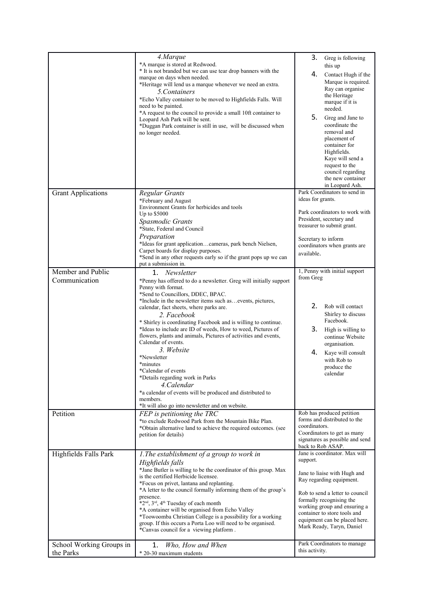|                                       | 4.Marque<br>*A marque is stored at Redwood.<br>* It is not branded but we can use tear drop banners with the<br>marque on days when needed.<br>*Heritage will lend us a marque whenever we need an extra.<br>5. Containers<br>*Echo Valley container to be moved to Highfields Falls. Will<br>need to be painted.<br>*A request to the council to provide a small 10ft container to<br>Leopard Ash Park will be sent.<br>*Duggan Park container is still in use, will be discussed when<br>no longer needed.                                                                                                                                                                                                                                             | 3.<br>Greg is following<br>this up<br>4.<br>Contact Hugh if the<br>Marque is required.<br>Ray can organise<br>the Heritage<br>marque if it is<br>needed.<br>5.<br>Greg and Jane to<br>coordinate the<br>removal and<br>placement of<br>container for<br>Highfields.<br>Kaye will send a<br>request to the<br>council regarding<br>the new container<br>in Leopard Ash. |
|---------------------------------------|----------------------------------------------------------------------------------------------------------------------------------------------------------------------------------------------------------------------------------------------------------------------------------------------------------------------------------------------------------------------------------------------------------------------------------------------------------------------------------------------------------------------------------------------------------------------------------------------------------------------------------------------------------------------------------------------------------------------------------------------------------|------------------------------------------------------------------------------------------------------------------------------------------------------------------------------------------------------------------------------------------------------------------------------------------------------------------------------------------------------------------------|
| <b>Grant Applications</b>             | Regular Grants<br>*February and August<br>Environment Grants for herbicides and tools<br>Up to \$5000<br>Spasmodic Grants<br>*State, Federal and Council<br>Preparation<br>*Ideas for grant applicationcameras, park bench Nielsen,<br>Carpet boards for display purposes.<br>*Send in any other requests early so if the grant pops up we can<br>put a submission in.                                                                                                                                                                                                                                                                                                                                                                                   | Park Coordinators to send in<br>ideas for grants.<br>Park coordinators to work with<br>President, secretary and<br>treasurer to submit grant.<br>Secretary to inform<br>coordinators when grants are<br>available.                                                                                                                                                     |
| Member and Public<br>Communication    | $1_{-}$<br>Newsletter<br>*Penny has offered to do a newsletter. Greg will initially support<br>Penny with format.<br>*Send to Councillors, DDEC, BPAC.<br>*Include in the newsletter items such asevents, pictures,<br>calendar, fact sheets, where parks are.<br>2. Facebook<br>* Shirley is coordinating Facebook and is willing to continue.<br>*Ideas to include are ID of weeds, How to weed, Pictures of<br>flowers, plants and animals, Pictures of activities and events,<br>Calendar of events.<br>3. Website<br>*Newsletter<br>*minutes<br>*Calendar of events<br>*Details regarding work in Parks<br>4. Calendar<br>*a calendar of events will be produced and distributed to<br>members.<br>*It will also go into newsletter and on website. | 1, Penny with initial support<br>from Greg<br>2.<br>Rob will contact<br>Shirley to discuss<br>Facebook.<br>3.<br>High is willing to<br>continue Website<br>organisation.<br>4.<br>Kaye will consult<br>with Rob to<br>produce the<br>calendar                                                                                                                          |
| Petition                              | FEP is petitioning the TRC<br>*to exclude Redwood Park from the Mountain Bike Plan.<br>*Obtain alternative land to achieve the required outcomes. (see<br>petition for details)                                                                                                                                                                                                                                                                                                                                                                                                                                                                                                                                                                          | Rob has produced petition<br>forms and distributed to the<br>coordinators.<br>Coordinators to get as many<br>signatures as possible and send<br>back to Rob ASAP.                                                                                                                                                                                                      |
| Highfields Falls Park                 | 1. The establishment of a group to work in<br>Highfields falls<br>*Jane Butler is willing to be the coordinator of this group. Max<br>is the certified Herbicide licensee.<br>*Focus on privet, lantana and replanting.<br>*A letter to the council formally informing them of the group's<br>presence.<br>*2 <sup>nd</sup> , 3 <sup>rd</sup> , 4 <sup>th</sup> Tuesday of each month<br>*A container will be organised from Echo Valley<br>*Toowoomba Christian College is a possibility for a working<br>group. If this occurs a Porta Loo will need to be organised.<br>*Canvas council for a viewing platform.                                                                                                                                       | Jane is coordinator. Max will<br>support.<br>Jane to liaise with Hugh and<br>Ray regarding equipment.<br>Rob to send a letter to council<br>formally recognising the<br>working group and ensuring a<br>container to store tools and<br>equipment can be placed here.<br>Mark Ready, Taryn, Daniel<br>Park Coordinators to manage                                      |
| School Working Groups in<br>the Parks | 1.<br>Who, How and When<br>* 20-30 maximum students                                                                                                                                                                                                                                                                                                                                                                                                                                                                                                                                                                                                                                                                                                      | this activity.                                                                                                                                                                                                                                                                                                                                                         |